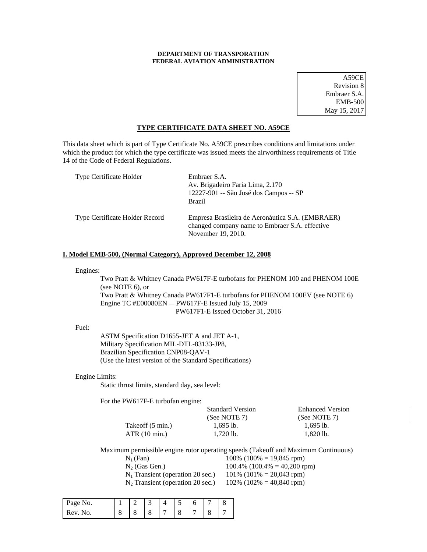# **DEPARTMENT OF TRANSPORATION FEDERAL AVIATION ADMINISTRATION**

A59CE Revision 8 Embraer S.A. EMB-500 May 15, 2017

## **TYPE CERTIFICATE DATA SHEET NO. A59CE**

This data sheet which is part of Type Certificate No. A59CE prescribes conditions and limitations under which the product for which the type certificate was issued meets the airworthiness requirements of Title 14 of the Code of Federal Regulations.

| Type Certificate Holder        | Embraer S.A.<br>Av. Brigadeiro Faria Lima, 2.170<br>12227-901 -- São José dos Campos -- SP<br><b>Brazil</b>              |
|--------------------------------|--------------------------------------------------------------------------------------------------------------------------|
| Type Certificate Holder Record | Empresa Brasileira de Aeronáutica S.A. (EMBRAER)<br>changed company name to Embraer S.A. effective<br>November 19, 2010. |

# **I. Model EMB-500, (Normal Category), Approved December 12, 2008**

## Engines:

Two Pratt & Whitney Canada PW617F-E turbofans for PHENOM 100 and PHENOM 100E (see NOTE 6), or Two Pratt & Whitney Canada PW617F1-E turbofans for PHENOM 100EV (see NOTE 6) Engine TC #E00080EN - PW617F-E Issued July 15, 2009 PW617F1-E Issued October 31, 2016

#### Fuel:

 ASTM Specification D1655-JET A and JET A-1, Military Specification MIL-DTL-83133-JP8, Brazilian Specification CNP08-QAV-1 (Use the latest version of the Standard Specifications)

#### Engine Limits:

Static thrust limits, standard day, sea level:

For the PW617F-E turbofan engine:

|                  | <b>Standard Version</b> | <b>Enhanced Version</b> |
|------------------|-------------------------|-------------------------|
|                  | (See NOTE 7)            | (See NOTE $7$ )         |
| Takeoff (5 min.) | $1.695$ lb.             | $1.695$ lb.             |
| ATR(10 min.)     | $1.720$ lb.             | 1.820 lb.               |

Maximum permissible engine rotor operating speeds (Takeoff and Maximum Continuous)

| $N_1$ (Fan) |  |
|-------------|--|
|             |  |

 $100\%$  (100% = 19,845 rpm)  $N_2$  (Gas Gen.) 100.4% (100.4% = 40,200 rpm)

 $N_1$  Transient (operation 20 sec.) 101% (101% = 20,043 rpm)

 $N_2$  Transient (operation 20 sec.) 102% (102% = 40,840 rpm)

| Page No. |   |         |   | ~ |   |  |
|----------|---|---------|---|---|---|--|
| Rev. No. | ပ | $\circ$ | o | U | С |  |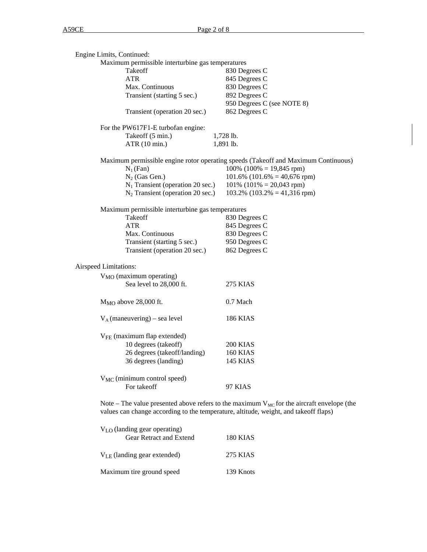| Engine Limits, Continued:                                                            |                                                                                                |
|--------------------------------------------------------------------------------------|------------------------------------------------------------------------------------------------|
| Maximum permissible interturbine gas temperatures                                    |                                                                                                |
| Takeoff                                                                              | 830 Degrees C                                                                                  |
| <b>ATR</b>                                                                           | 845 Degrees C                                                                                  |
| Max. Continuous                                                                      | 830 Degrees C                                                                                  |
| Transient (starting 5 sec.)                                                          | 892 Degrees C                                                                                  |
|                                                                                      | 950 Degrees C (see NOTE 8)                                                                     |
| Transient (operation 20 sec.)                                                        | 862 Degrees C                                                                                  |
| For the PW617F1-E turbofan engine:                                                   |                                                                                                |
| Takeoff (5 min.)                                                                     | 1,728 lb.                                                                                      |
| ATR (10 min.)                                                                        | 1,891 lb.                                                                                      |
|                                                                                      | Maximum permissible engine rotor operating speeds (Takeoff and Maximum Continuous)             |
| $N_1(Fan)$                                                                           | $100\%$ (100% = 19,845 rpm)                                                                    |
| $N_2$ (Gas Gen.)                                                                     | $101.6\%$ (101.6% = 40,676 rpm)                                                                |
| $N_1$ Transient (operation 20 sec.)                                                  | $101\%$ (101\% = 20,043 rpm)                                                                   |
| $N_2$ Transient (operation 20 sec.)                                                  | $103.2\%$ (103.2% = 41,316 rpm)                                                                |
| Maximum permissible interturbine gas temperatures                                    |                                                                                                |
| Takeoff                                                                              | 830 Degrees C                                                                                  |
| <b>ATR</b>                                                                           | 845 Degrees C                                                                                  |
| Max. Continuous                                                                      | 830 Degrees C                                                                                  |
| Transient (starting 5 sec.)                                                          | 950 Degrees C                                                                                  |
| Transient (operation 20 sec.)                                                        | 862 Degrees C                                                                                  |
| Airspeed Limitations:                                                                |                                                                                                |
| $V_{MO}$ (maximum operating)                                                         |                                                                                                |
| Sea level to 28,000 ft.                                                              | <b>275 KIAS</b>                                                                                |
| $M_{MO}$ above 28,000 ft.                                                            | 0.7 Mach                                                                                       |
| $V_A$ (maneuvering) – sea level                                                      | <b>186 KIAS</b>                                                                                |
| $V_{FE}$ (maximum flap extended)                                                     |                                                                                                |
| 10 degrees (takeoff)                                                                 | 200 KIAS                                                                                       |
| 26 degrees (takeoff/landing)                                                         | <b>160 KIAS</b>                                                                                |
| 36 degrees (landing)                                                                 | <b>145 KIAS</b>                                                                                |
| V <sub>MC</sub> (minimum control speed)                                              |                                                                                                |
| For takeoff                                                                          | 97 KIAS                                                                                        |
| values can change according to the temperature, altitude, weight, and takeoff flaps) | Note – The value presented above refers to the maximum $V_{MC}$ for the aircraft envelope (the |

| $V_{LO}$ (landing gear operating)<br><b>Gear Retract and Extend</b> | 180 KIAS  |
|---------------------------------------------------------------------|-----------|
| $V_{LE}$ (landing gear extended)                                    | 275 KIAS  |
| Maximum tire ground speed                                           | 139 Knots |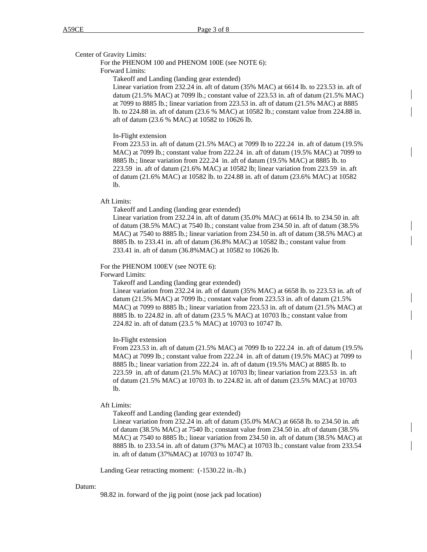Center of Gravity Limits:

For the PHENOM 100 and PHENOM 100E (see NOTE 6):

Forward Limits:

Takeoff and Landing (landing gear extended)

Linear variation from 232.24 in. aft of datum (35% MAC) at 6614 lb. to 223.53 in. aft of datum (21.5% MAC) at 7099 lb.; constant value of 223.53 in. aft of datum (21.5% MAC) at 7099 to 8885 lb.; linear variation from 223.53 in. aft of datum (21.5% MAC) at 8885 lb. to 224.88 in. aft of datum (23.6 % MAC) at 10582 lb.; constant value from 224.88 in. aft of datum (23.6 % MAC) at 10582 to 10626 lb.

#### In-Flight extension

From 223.53 in. aft of datum (21.5% MAC) at 7099 lb to 222.24 in. aft of datum (19.5% MAC) at 7099 lb.; constant value from 222.24 in. aft of datum (19.5% MAC) at 7099 to 8885 lb.; linear variation from 222.24 in. aft of datum (19.5% MAC) at 8885 lb. to 223.59 in. aft of datum (21.6% MAC) at 10582 lb; linear variation from 223.59 in. aft of datum (21.6% MAC) at 10582 lb. to 224.88 in. aft of datum (23.6% MAC) at 10582 lb.

## Aft Limits:

Takeoff and Landing (landing gear extended)

Linear variation from 232.24 in. aft of datum (35.0% MAC) at 6614 lb. to 234.50 in. aft of datum (38.5% MAC) at 7540 lb.; constant value from 234.50 in. aft of datum (38.5% MAC) at 7540 to 8885 lb.; linear variation from 234.50 in. aft of datum (38.5% MAC) at 8885 lb. to 233.41 in. aft of datum (36.8% MAC) at 10582 lb.; constant value from 233.41 in. aft of datum (36.8%MAC) at 10582 to 10626 lb.

#### For the PHENOM 100EV (see NOTE 6):

Forward Limits:

Takeoff and Landing (landing gear extended)

Linear variation from 232.24 in. aft of datum (35% MAC) at 6658 lb. to 223.53 in. aft of datum (21.5% MAC) at 7099 lb.; constant value from 223.53 in. aft of datum (21.5% MAC) at 7099 to 8885 lb.; linear variation from 223.53 in. aft of datum (21.5% MAC) at 8885 lb. to 224.82 in. aft of datum (23.5 % MAC) at 10703 lb.; constant value from 224.82 in. aft of datum (23.5 % MAC) at 10703 to 10747 lb.

## In-Flight extension

From 223.53 in. aft of datum (21.5% MAC) at 7099 lb to 222.24 in. aft of datum (19.5% MAC) at 7099 lb.; constant value from 222.24 in. aft of datum (19.5% MAC) at 7099 to 8885 lb.; linear variation from 222.24 in. aft of datum (19.5% MAC) at 8885 lb. to 223.59 in. aft of datum (21.5% MAC) at 10703 lb; linear variation from 223.53 in. aft of datum (21.5% MAC) at 10703 lb. to 224.82 in. aft of datum (23.5% MAC) at 10703 lb.

#### Aft Limits:

Takeoff and Landing (landing gear extended)

Linear variation from 232.24 in. aft of datum (35.0% MAC) at 6658 lb. to 234.50 in. aft of datum (38.5% MAC) at 7540 lb.; constant value from 234.50 in. aft of datum (38.5% MAC) at 7540 to 8885 lb.; linear variation from 234.50 in. aft of datum (38.5% MAC) at 8885 lb. to 233.54 in. aft of datum (37% MAC) at 10703 lb.; constant value from 233.54 in. aft of datum (37%MAC) at 10703 to 10747 lb.

Landing Gear retracting moment: (-1530.22 in.-lb.)

#### Datum:

98.82 in. forward of the jig point (nose jack pad location)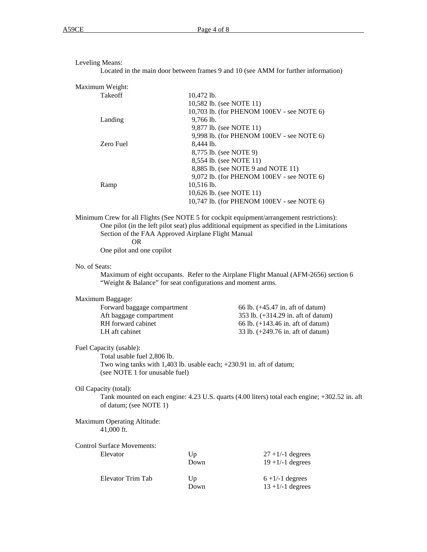Leveling Means: Located in the main door between frames 9 and 10 (see AMM for further information) Maximum Weight: Takeoff 10,472 lb. 10,582 lb. (see NOTE 11) 10,703 lb. (for PHENOM 100EV - see NOTE 6) Landing 9,766 lb. 9,877 lb. (see NOTE 11) 9,998 lb. (for PHENOM 100EV - see NOTE 6) Zero Fuel 8,444 lb. 8,775 lb. (see NOTE 9) 8,554 lb. (see NOTE 11) 8,885 lb. (see NOTE 9 and NOTE 11) 9,072 lb. (for PHENOM 100EV - see NOTE 6) Ramp 10,516 lb. 10,626 lb. (see NOTE 11) 10,747 lb. (for PHENOM 100EV - see NOTE 6) Minimum Crew for all Flights (See NOTE 5 for cockpit equipment/arrangement restrictions): One pilot (in the left pilot seat) plus additional equipment as specified in the Limitations Section of the FAA Approved Airplane Flight Manual OR One pilot and one copilot No. of Seats: Maximum of eight occupants. Refer to the Airplane Flight Manual (AFM-2656) section 6 "Weight & Balance" for seat configurations and moment arms.

Maximum Baggage: Forward baggage compartment 66 lb. (+45.47 in. aft of datum) Aft baggage compartment 353 lb. (+314.29 in. aft of datum) RH forward cabinet  $66 lb. (+143.46 in.$  aft of datum) LH aft cabinet 33 lb. (+249.76 in. aft of datum)

Fuel Capacity (usable):

Total usable fuel 2,806 lb. Two wing tanks with 1,403 lb. usable each; +230.91 in. aft of datum; (see NOTE 1 for unusable fuel)

Oil Capacity (total):

Tank mounted on each engine: 4.23 U.S. quarts (4.00 liters) total each engine; +302.52 in. aft of datum; (see NOTE 1)

Maximum Operating Altitude: 41,000 ft.

Control Surface Movements: Elevator Up  $27 + 1/ -1$  degrees Down  $19 + 1/ -1$  degrees Elevator Trim Tab  $Up$  6 +1/-1 degrees Down  $13 + 1/ -1$  degrees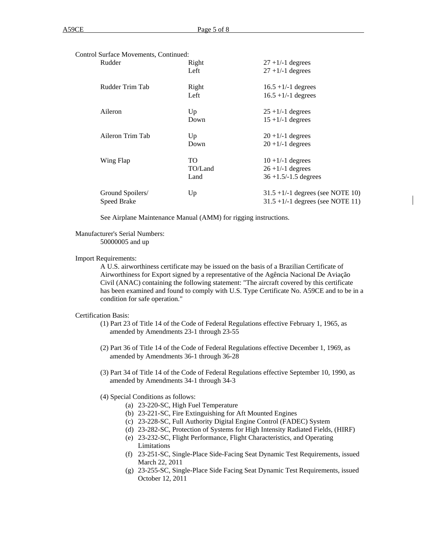| Control Surface Movements, Continued: |         |                                       |
|---------------------------------------|---------|---------------------------------------|
| Rudder                                | Right   | $27 + 1/-1$ degrees                   |
|                                       | Left    | $27 + 1/-1$ degrees                   |
| Rudder Trim Tab                       | Right   | $16.5 + 1/-1$ degrees                 |
|                                       | Left    | $16.5 + 1/-1$ degrees                 |
| Aileron                               | Up      | $25 + 1/1$ degrees                    |
|                                       | Down    | $15 + 1/-1$ degrees                   |
| Aileron Trim Tab                      | Up      | $20 + 1/1$ degrees                    |
|                                       | Down    | $20 + 1/1$ degrees                    |
| Wing Flap                             | TO.     | $10 + 1/-1$ degrees                   |
|                                       | TO/Land | $26 + 1/ - 1$ degrees                 |
|                                       | Land    | $36 + 1.5/ - 1.5$ degrees             |
| Ground Spoilers/                      | Up      | $31.5 + 1/ - 1$ degrees (see NOTE 10) |
| Speed Brake                           |         | $31.5 + 1/ - 1$ degrees (see NOTE 11) |

See Airplane Maintenance Manual (AMM) for rigging instructions.

# Manufacturer's Serial Numbers:

50000005 and up

#### Import Requirements:

A U.S. airworthiness certificate may be issued on the basis of a Brazilian Certificate of Airworthiness for Export signed by a representative of the Agência Nacional De Aviação Civil (ANAC) containing the following statement: "The aircraft covered by this certificate has been examined and found to comply with U.S. Type Certificate No. A59CE and to be in a condition for safe operation."

## Certification Basis:

- (1) Part 23 of Title 14 of the Code of Federal Regulations effective February 1, 1965, as amended by Amendments 23-1 through 23-55
- (2) Part 36 of Title 14 of the Code of Federal Regulations effective December 1, 1969, as amended by Amendments 36-1 through 36-28
- (3) Part 34 of Title 14 of the Code of Federal Regulations effective September 10, 1990, as amended by Amendments 34-1 through 34-3
- (4) Special Conditions as follows:
	- (a) 23-220-SC, High Fuel Temperature
	- (b) 23-221-SC, Fire Extinguishing for Aft Mounted Engines
	- (c) 23-228-SC, Full Authority Digital Engine Control (FADEC) System
	- (d) 23-282-SC, Protection of Systems for High Intensity Radiated Fields, (HIRF)
	- (e) 23-232-SC, Flight Performance, Flight Characteristics, and Operating Limitations
	- (f) 23-251-SC, Single-Place Side-Facing Seat Dynamic Test Requirements, issued March 22, 2011
	- (g) 23-255-SC, Single-Place Side Facing Seat Dynamic Test Requirements, issued October 12, 2011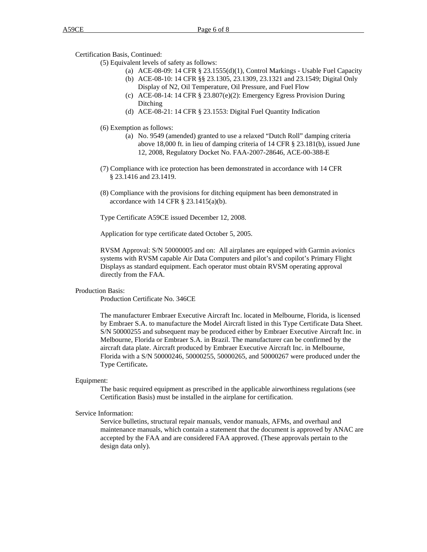Certification Basis, Continued:

(5) Equivalent levels of safety as follows:

- (a) ACE-08-09: 14 CFR § 23.1555(d)(1), Control Markings Usable Fuel Capacity (b) ACE-08-10: 14 CFR §§ 23.1305, 23.1309, 23.1321 and 23.1549; Digital Only
- Display of N2, Oil Temperature, Oil Pressure, and Fuel Flow
- (c) ACE-08-14: 14 CFR § 23.807(e)(2): Emergency Egress Provision During Ditching
- (d) ACE-08-21: 14 CFR § 23.1553: Digital Fuel Quantity Indication
- (6) Exemption as follows:
	- (a) No. 9549 (amended) granted to use a relaxed "Dutch Roll" damping criteria above 18,000 ft. in lieu of damping criteria of 14 CFR § 23.181(b), issued June 12, 2008, Regulatory Docket No. FAA-2007-28646, ACE-00-388-E
- (7) Compliance with ice protection has been demonstrated in accordance with 14 CFR § 23.1416 and 23.1419.
- (8) Compliance with the provisions for ditching equipment has been demonstrated in accordance with  $14$  CFR  $\S$  23.1415(a)(b).

Type Certificate A59CE issued December 12, 2008.

Application for type certificate dated October 5, 2005.

RVSM Approval: S/N 50000005 and on: All airplanes are equipped with Garmin avionics systems with RVSM capable Air Data Computers and pilot's and copilot's Primary Flight Displays as standard equipment. Each operator must obtain RVSM operating approval directly from the FAA.

# Production Basis:

Production Certificate No. 346CE

The manufacturer Embraer Executive Aircraft Inc. located in Melbourne, Florida, is licensed by Embraer S.A. to manufacture the Model Aircraft listed in this Type Certificate Data Sheet. S/N 50000255 and subsequent may be produced either by Embraer Executive Aircraft Inc. in Melbourne, Florida or Embraer S.A. in Brazil. The manufacturer can be confirmed by the aircraft data plate. Aircraft produced by Embraer Executive Aircraft Inc. in Melbourne, Florida with a S/N 50000246, 50000255, 50000265, and 50000267 were produced under the Type Certificate**.** 

#### Equipment:

The basic required equipment as prescribed in the applicable airworthiness regulations (see Certification Basis) must be installed in the airplane for certification.

#### Service Information:

Service bulletins, structural repair manuals, vendor manuals, AFMs, and overhaul and maintenance manuals, which contain a statement that the document is approved by ANAC are accepted by the FAA and are considered FAA approved. (These approvals pertain to the design data only).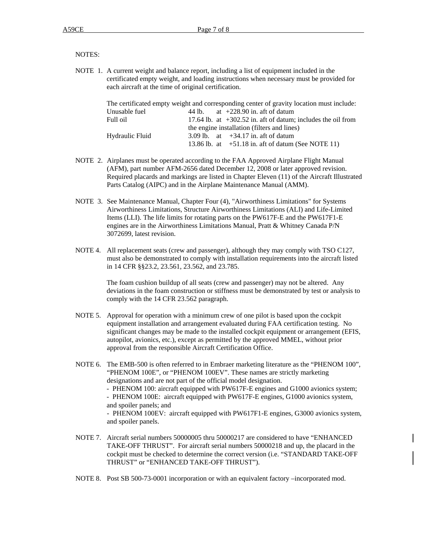## NOTES:

NOTE 1. A current weight and balance report, including a list of equipment included in the certificated empty weight, and loading instructions when necessary must be provided for each aircraft at the time of original certification.

|                                             |  |  | The certificated empty weight and corresponding center of gravity location must include: |
|---------------------------------------------|--|--|------------------------------------------------------------------------------------------|
| Unusable fuel                               |  |  | 44 lb. $at +228.90$ in. aft of datum                                                     |
| Full oil                                    |  |  | 17.64 lb. at $+302.52$ in. aft of datum; includes the oil from                           |
| the engine installation (filters and lines) |  |  |                                                                                          |
| Hydraulic Fluid                             |  |  | 3.09 lb. at $+34.17$ in. aft of datum                                                    |
|                                             |  |  | 13.86 lb. at $+51.18$ in. aft of datum (See NOTE 11)                                     |

- NOTE 2. Airplanes must be operated according to the FAA Approved Airplane Flight Manual (AFM), part number AFM-2656 dated December 12, 2008 or later approved revision. Required placards and markings are listed in Chapter Eleven (11) of the Aircraft Illustrated Parts Catalog (AIPC) and in the Airplane Maintenance Manual (AMM).
- NOTE 3. See Maintenance Manual, Chapter Four (4), "Airworthiness Limitations" for Systems Airworthiness Limitations, Structure Airworthiness Limitations (ALI) and Life-Limited Items (LLI). The life limits for rotating parts on the PW617F-E and the PW617F1-E engines are in the Airworthiness Limitations Manual, Pratt & Whitney Canada P/N 3072699, latest revision.
- NOTE 4. All replacement seats (crew and passenger), although they may comply with TSO C127, must also be demonstrated to comply with installation requirements into the aircraft listed in 14 CFR §§23.2, 23.561, 23.562, and 23.785.

The foam cushion buildup of all seats (crew and passenger) may not be altered. Any deviations in the foam construction or stiffness must be demonstrated by test or analysis to comply with the 14 CFR 23.562 paragraph.

- NOTE 5. Approval for operation with a minimum crew of one pilot is based upon the cockpit equipment installation and arrangement evaluated during FAA certification testing. No significant changes may be made to the installed cockpit equipment or arrangement (EFIS, autopilot, avionics, etc.), except as permitted by the approved MMEL, without prior approval from the responsible Aircraft Certification Office.
- NOTE 6. The EMB-500 is often referred to in Embraer marketing literature as the "PHENOM 100", "PHENOM 100E", or "PHENOM 100EV". These names are strictly marketing designations and are not part of the official model designation. - PHENOM 100: aircraft equipped with PW617F-E engines and G1000 avionics system; - PHENOM 100E: aircraft equipped with PW617F-E engines, G1000 avionics system, and spoiler panels; and - PHENOM 100EV: aircraft equipped with PW617F1-E engines, G3000 avionics system, and spoiler panels.
- NOTE 7. Aircraft serial numbers 50000005 thru 50000217 are considered to have "ENHANCED TAKE-OFF THRUST". For aircraft serial numbers 50000218 and up, the placard in the cockpit must be checked to determine the correct version (i.e. "STANDARD TAKE-OFF THRUST" or "ENHANCED TAKE-OFF THRUST").
- NOTE 8. Post SB 500-73-0001 incorporation or with an equivalent factory –incorporated mod.